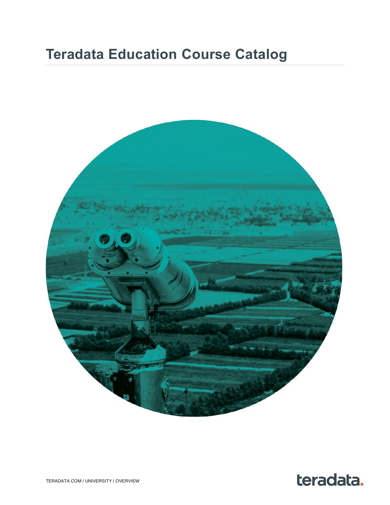# **Teradata Education Course Catalog**



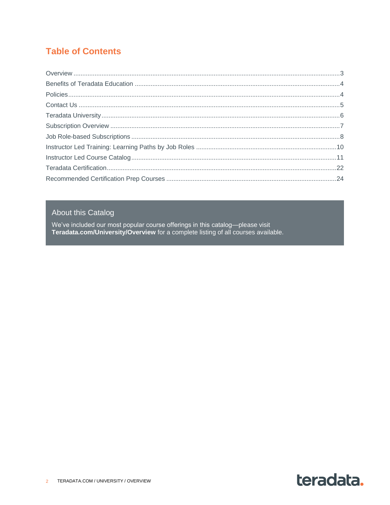## **Table of Contents**

#### **About this Catalog**

We've included our most popular course offerings in this catalog--please visit<br>Teradata.com/University/Overview for a complete listing of all courses available.

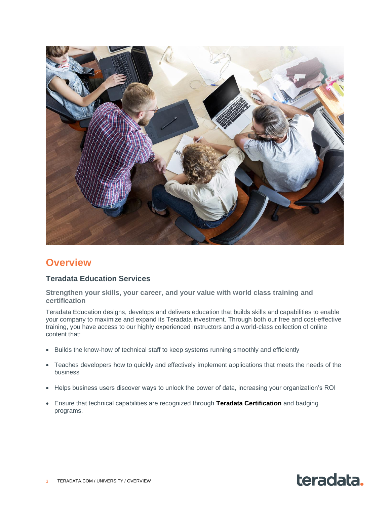

### <span id="page-2-0"></span>**Overview**

#### **Teradata Education Services**

**Strengthen your skills, your career, and your value with world class training and certification**

Teradata Education designs, develops and delivers education that builds skills and capabilities to enable your company to maximize and expand its Teradata investment. Through both our free and cost-effective training, you have access to our highly experienced instructors and a world-class collection of online content that:

- Builds the know-how of technical staff to keep systems running smoothly and efficiently
- Teaches developers how to quickly and effectively implement applications that meets the needs of the business
- Helps business users discover ways to unlock the power of data, increasing your organization's ROI
- Ensure that technical capabilities are recognized through **[Teradata Certification](https://www.teradata.com/University/Certification)** and badging programs.

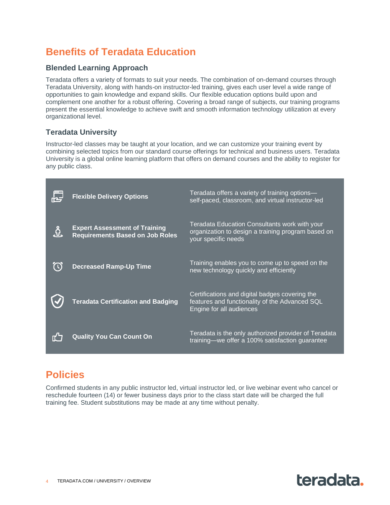# <span id="page-3-0"></span>**Benefits of Teradata Education**

#### **Blended Learning Approach**

Teradata offers a variety of formats to suit your needs. The combination of on-demand courses through Teradata University, along with hands-on instructor-led training, gives each user level a wide range of opportunities to gain knowledge and expand skills. Our flexible education options build upon and complement one another for a robust offering. Covering a broad range of subjects, our training programs present the essential knowledge to achieve swift and smooth information technology utilization at every organizational level.

#### **Teradata University**

Instructor-led classes may be taught at your location, and we can customize your training event by combining selected topics from our standard course offerings for technical and business users. Teradata University is a global online learning platform that offers on demand courses and the ability to register for any public class.

| <b>Flexible Delivery Options</b>                                               | Teradata offers a variety of training options-<br>self-paced, classroom, and virtual instructor-led                          |
|--------------------------------------------------------------------------------|------------------------------------------------------------------------------------------------------------------------------|
| <b>Expert Assessment of Training</b><br><b>Requirements Based on Job Roles</b> | Teradata Education Consultants work with your<br>organization to design a training program based on<br>your specific needs   |
| <b>Decreased Ramp-Up Time</b>                                                  | Training enables you to come up to speed on the<br>new technology quickly and efficiently                                    |
| <b>Teradata Certification and Badging</b>                                      | Certifications and digital badges covering the<br>features and functionality of the Advanced SQL<br>Engine for all audiences |
| <b>Quality You Can Count On</b>                                                | Teradata is the only authorized provider of Teradata<br>training—we offer a 100% satisfaction guarantee                      |

## <span id="page-3-1"></span>**Policies**

Confirmed students in any public instructor led, virtual instructor led, or live webinar event who cancel or reschedule fourteen (14) or fewer business days prior to the class start date will be charged the full training fee. Student substitutions may be made at any time without penalty.

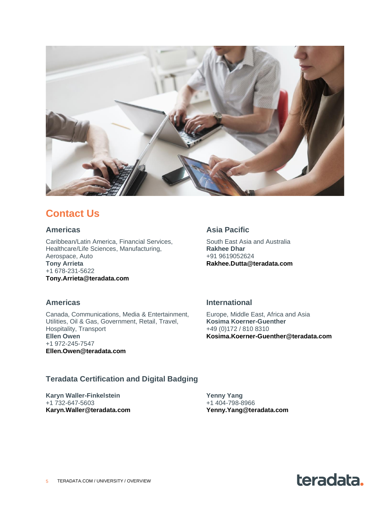

## <span id="page-4-0"></span>**Contact Us**

#### **Americas**

Caribbean/Latin America, Financial Services, Healthcare/Life Sciences, Manufacturing, Aerospace, Auto **Tony Arrieta** +1 678-231-5622 **[Tony.Arrieta@teradata.com](mailto:Tony.Arrieta@teradata.com)**

#### **Asia Pacific**

South East Asia and Australia **Rakhee Dhar** +91 9619052624 **[Rakhee.Dutta@teradata.com](mailto:Rakhee.Dutta@teradata.com)**

#### **Americas**

Canada, Communications, Media & Entertainment, Utilities, Oil & Gas, Government, Retail, Travel, Hospitality, Transport **Ellen Owen** +1 972-245-7547 **[Ellen.Owen@teradata.com](mailto:Ellen.Owen@teradata.com)**

#### **International**

Europe, Middle East, Africa and Asia **Kosima Koerner-Guenther** +49 (0)172 / 810 8310 **[Kosima.Koerner-Guenther@teradata.com](mailto:Kosima.Koerner-Guenther@teradata.com)**

#### **Teradata Certification and Digital Badging**

**Karyn Waller-Finkelstein** +1 732-647-5603 **[Karyn.Waller@teradata.com](mailto:Karyn.Waller@teradata.com)** **Yenny Yang** +1 404-798-8966 **[Yenny.Yang@teradata.com](mailto:Yenny.Yang@teradata.com)**

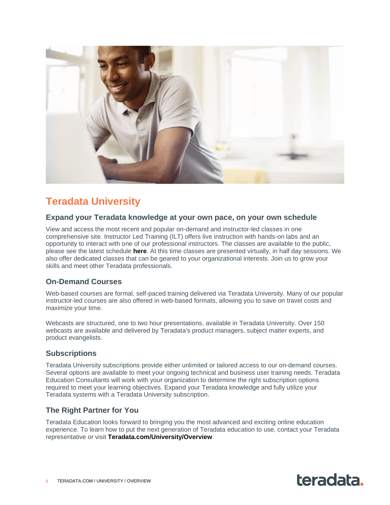

# <span id="page-5-0"></span>**Teradata University**

#### **Expand your Teradata knowledge at your own pace, on your own schedule**

View and access the most recent and popular on-demand and instructor-led classes in one comprehensive site. Instructor Led Training (ILT) offers live instruction with hands-on labs and an opportunity to interact with one of our professional instructors. The classes are available to the public, please see the latest schedule **[here](https://www.teradata.com/University/Overview)**. At this time classes are presented virtually, in half day sessions. We also offer dedicated classes that can be geared to your organizational interests. Join us to grow your skills and meet other Teradata professionals.

#### **On-Demand Courses**

Web-based courses are formal, self-paced training delivered via Teradata University. Many of our popular instructor-led courses are also offered in web-based formats, allowing you to save on travel costs and maximize your time.

Webcasts are structured, one to two hour presentations, available in Teradata University. Over 150 webcasts are available and delivered by Teradata's product managers, subject matter experts, and product evangelists.

#### **Subscriptions**

Teradata University subscriptions provide either unlimited or tailored access to our on-demand courses. Several options are available to meet your ongoing technical and business user training needs. Teradata Education Consultants will work with your organization to determine the right subscription options required to meet your learning objectives. Expand your Teradata knowledge and fully utilize your Teradata systems with a Teradata University subscription.

#### **The Right Partner for You**

Teradata Education looks forward to bringing you the most advanced and exciting online education experience. To learn how to put the next generation of Teradata education to use, contact your Teradata representative or visit **[Teradata.com/University/Overview](http://www.teradata.com/University/Overview)**.

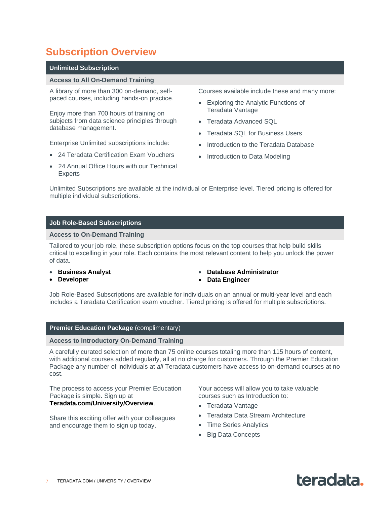# <span id="page-6-0"></span>**Subscription Overview**

#### **Unlimited Subscription**

#### **Access to All On-Demand Training**

A library of more than 300 on-demand, selfpaced courses, including hands-on practice.

Enjoy more than 700 hours of training on subjects from data science principles through database management.

Enterprise Unlimited subscriptions include:

- 24 Teradata Certification Exam Vouchers
- 24 Annual Office Hours with our Technical Experts

Courses available include these and many more:

- Exploring the Analytic Functions of Teradata Vantage
- Teradata Advanced SQL
- Teradata SQL for Business Users
- Introduction to the Teradata Database
- Introduction to Data Modeling

Unlimited Subscriptions are available at the individual or Enterprise level. Tiered pricing is offered for multiple individual subscriptions.

#### **Job Role-Based Subscriptions**

#### **Access to On-Demand Training**

Tailored to your job role, these subscription options focus on the top courses that help build skills critical to excelling in your role. Each contains the most relevant content to help you unlock the power of data.

- **[Business Analyst](https://assets.teradata.com/pdf/University/business-analyst-teradata-university-subscription.pdf)**
- **[Developer](https://assets.teradata.com/pdf/University/developer-teradata-university-subscription.pdf)**
- **[Database Administrator](https://assets.teradata.com/pdf/University/database-administrator-teradata-university-subscription.pdf)**
- **[Data Engineer](https://assets.teradata.com/pdf/University/data-engineer-teradata-university-subscription.pdf)**

Job Role-Based Subscriptions are available for individuals on an annual or multi-year level and each includes a Teradata Certification exam voucher. Tiered pricing is offered for multiple subscriptions.

#### **Premier Education Package** (complimentary)

#### **Access to Introductory On-Demand Training**

A carefully curated selection of more than 75 online courses totaling more than 115 hours of content, with additional courses added regularly, all at no charge for customers. Through the Premier Education Package any number of individuals at *all* Teradata customers have access to on-demand courses at no cost.

The process to access your Premier Education Package is simple. Sign up at **[Teradata.com/University/Overview](http://www.teradata.com/University/Overview)**.

Share this exciting offer with your colleagues and encourage them to sign up today.

Your access will allow you to take valuable courses such as Introduction to:

- Teradata Vantage
- Teradata Data Stream Architecture
- Time Series Analytics
- Big Data Concepts

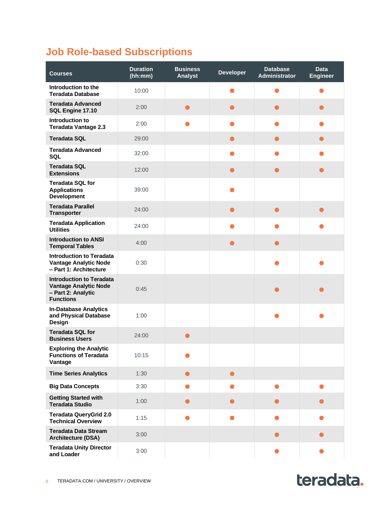# <span id="page-7-0"></span>**Job Role-based Subscriptions**

| <b>Courses</b>                                                                                            | <b>Duration</b><br>(hh:mm) | <b>Business</b><br>Analyst | <b>Developer</b> | <b>Database</b><br>Administrator | <b>Data</b><br><b>Engineer</b> |
|-----------------------------------------------------------------------------------------------------------|----------------------------|----------------------------|------------------|----------------------------------|--------------------------------|
| Introduction to the<br><b>Teradata Database</b>                                                           | 10:00                      |                            |                  |                                  |                                |
| <b>Teradata Advanced</b><br>SQL Engine 17.10                                                              | 2:00                       | $\bullet$                  | ●                |                                  |                                |
| Introduction to<br><b>Teradata Vantage 2.3</b>                                                            | 2:00                       |                            |                  |                                  |                                |
| <b>Teradata SQL</b>                                                                                       | 29:00                      |                            | $\bullet$        |                                  | $\bullet$                      |
| <b>Teradata Advanced</b><br><b>SQL</b>                                                                    | 32:00                      |                            |                  |                                  |                                |
| <b>Teradata SQL</b><br><b>Extensions</b>                                                                  | 12:00                      |                            | ●                |                                  |                                |
| <b>Teradata SQL for</b><br><b>Applications</b><br><b>Development</b>                                      | 39:00                      |                            |                  |                                  |                                |
| <b>Teradata Parallel</b><br><b>Transporter</b>                                                            | 24:00                      |                            | $\bullet$        | O                                | $\bullet$                      |
| <b>Teradata Application</b><br><b>Utilities</b>                                                           | 24:00                      |                            |                  |                                  |                                |
| <b>Introduction to ANSI</b><br><b>Temporal Tables</b>                                                     | 4:00                       |                            |                  |                                  |                                |
| <b>Introduction to Teradata</b><br><b>Vantage Analytic Node</b><br>- Part 1: Architecture                 | 0:30                       |                            |                  |                                  |                                |
| <b>Introduction to Teradata</b><br><b>Vantage Analytic Node</b><br>- Part 2: Analytic<br><b>Functions</b> | 0:45                       |                            |                  |                                  |                                |
| <b>In-Database Analytics</b><br>and Physical Database<br>Design                                           | 1:00                       |                            |                  |                                  |                                |
| <b>Teradata SQL for</b><br><b>Business Users</b>                                                          | 24:00                      | $\bullet$                  |                  |                                  |                                |
| <b>Exploring the Analytic</b><br><b>Functions of Teradata</b><br>Vantage                                  | 10:15                      |                            |                  |                                  |                                |
| <b>Time Series Analytics</b>                                                                              | 1:30                       | $\bullet$                  | $\bullet$        |                                  |                                |
| <b>Big Data Concepts</b>                                                                                  | 3:30                       |                            |                  |                                  |                                |
| <b>Getting Started with</b><br><b>Teradata Studio</b>                                                     | 1:00                       | $\bullet$                  | ●                |                                  |                                |
| <b>Teradata QueryGrid 2.0</b><br><b>Technical Overview</b>                                                | 1:15                       |                            |                  |                                  |                                |
| <b>Teradata Data Stream</b><br><b>Architecture (DSA)</b>                                                  | 3:00                       |                            |                  |                                  |                                |
| <b>Teradata Unity Director</b><br>and Loader                                                              | 3:00                       |                            |                  |                                  | $\bullet$                      |

teradata.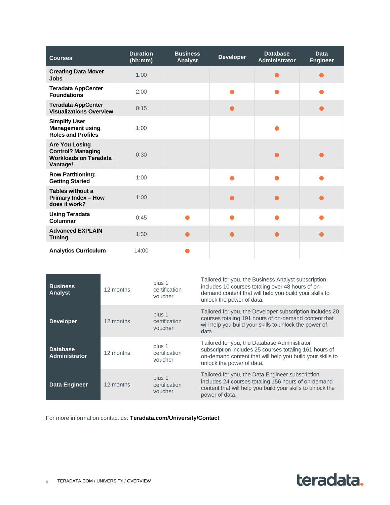| <b>Courses</b>                                                                                | <b>Duration</b><br>(hh:mm) | <b>Business</b><br>Analyst | <b>Developer</b> | <b>Database</b><br><b>Administrator</b> | <b>Data</b><br><b>Engineer</b> |
|-----------------------------------------------------------------------------------------------|----------------------------|----------------------------|------------------|-----------------------------------------|--------------------------------|
| <b>Creating Data Mover</b><br><b>Jobs</b>                                                     | 1:00                       |                            |                  |                                         |                                |
| <b>Teradata AppCenter</b><br><b>Foundations</b>                                               | 2:00                       |                            |                  |                                         |                                |
| <b>Teradata AppCenter</b><br><b>Visualizations Overview</b>                                   | 0:15                       |                            |                  |                                         |                                |
| <b>Simplify User</b><br><b>Management using</b><br><b>Roles and Profiles</b>                  | 1:00                       |                            |                  |                                         |                                |
| <b>Are You Losing</b><br><b>Control? Managing</b><br><b>Workloads on Teradata</b><br>Vantage! | 0:30                       |                            |                  |                                         |                                |
| <b>Row Partitioning:</b><br><b>Getting Started</b>                                            | 1:00                       |                            |                  |                                         |                                |
| Tables without a<br><b>Primary Index - How</b><br>does it work?                               | 1:00                       |                            |                  |                                         |                                |
| <b>Using Teradata</b><br>Columnar                                                             | 0:45                       |                            |                  |                                         |                                |
| <b>Advanced EXPLAIN</b><br><b>Tuning</b>                                                      | 1:30                       |                            |                  |                                         |                                |
| <b>Analytics Curriculum</b>                                                                   | 14:00                      |                            |                  |                                         |                                |

| <b>Business</b><br>Analyst       | 12 months | plus 1<br>certification<br>voucher | Tailored for you, the Business Analyst subscription<br>includes 10 courses totaling over 48 hours of on-<br>demand content that will help you build your skills to<br>unlock the power of data.  |
|----------------------------------|-----------|------------------------------------|--------------------------------------------------------------------------------------------------------------------------------------------------------------------------------------------------|
| <b>Developer</b>                 | 12 months | plus 1<br>certification<br>voucher | Tailored for you, the Developer subscription includes 20<br>courses totaling 191 hours of on-demand content that<br>will help you build your skills to unlock the power of<br>data.              |
| <b>Database</b><br>Administrator | 12 months | plus 1<br>certification<br>voucher | Tailored for you, the Database Administrator<br>subscription includes 25 courses totaling 161 hours of<br>on-demand content that will help you build your skills to<br>unlock the power of data. |
| <b>Data Engineer</b>             | 12 months | plus 1<br>certification<br>voucher | Tailored for you, the Data Engineer subscription<br>includes 24 courses totaling 156 hours of on-demand<br>content that will help you build your skills to unlock the<br>power of data.          |

For more information contact us: **[Teradata.com/University/Contact](file:///C:/Users/el250019/Documents/TEN/teradata.com/University/Contact)**

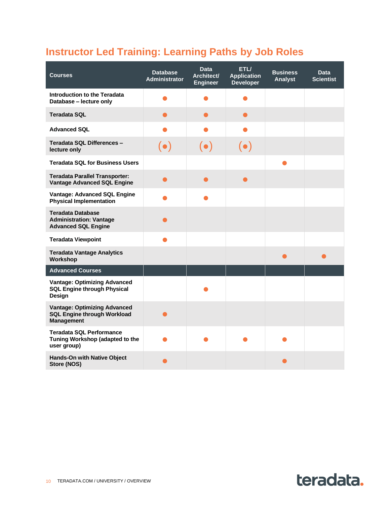# <span id="page-9-0"></span>**Instructor Led Training: Learning Paths by Job Roles**

| <b>Courses</b>                                                                                 | <b>Database</b><br><b>Administrator</b> | <b>Data</b><br>Architect/<br><b>Engineer</b> | ETL/<br><b>Application</b><br><b>Developer</b> | <b>Business</b><br>Analyst | <b>Data</b><br><b>Scientist</b> |
|------------------------------------------------------------------------------------------------|-----------------------------------------|----------------------------------------------|------------------------------------------------|----------------------------|---------------------------------|
| Introduction to the Teradata<br>Database - lecture only                                        |                                         |                                              |                                                |                            |                                 |
| <b>Teradata SQL</b>                                                                            |                                         |                                              |                                                |                            |                                 |
| <b>Advanced SQL</b>                                                                            |                                         |                                              |                                                |                            |                                 |
| Teradata SQL Differences -<br>lecture only                                                     | $(\bullet)$                             | $(\bullet)$                                  | $(\bullet)$                                    |                            |                                 |
| <b>Teradata SQL for Business Users</b>                                                         |                                         |                                              |                                                |                            |                                 |
| <b>Teradata Parallel Transporter:</b><br><b>Vantage Advanced SQL Engine</b>                    |                                         | $\bullet$                                    | ●                                              |                            |                                 |
| Vantage: Advanced SQL Engine<br><b>Physical Implementation</b>                                 |                                         |                                              |                                                |                            |                                 |
| <b>Teradata Database</b><br><b>Administration: Vantage</b><br><b>Advanced SQL Engine</b>       |                                         |                                              |                                                |                            |                                 |
| <b>Teradata Viewpoint</b>                                                                      |                                         |                                              |                                                |                            |                                 |
| <b>Teradata Vantage Analytics</b><br>Workshop                                                  |                                         |                                              |                                                |                            |                                 |
| <b>Advanced Courses</b>                                                                        |                                         |                                              |                                                |                            |                                 |
| <b>Vantage: Optimizing Advanced</b><br><b>SQL Engine through Physical</b><br>Design            |                                         |                                              |                                                |                            |                                 |
| <b>Vantage: Optimizing Advanced</b><br><b>SQL Engine through Workload</b><br><b>Management</b> |                                         |                                              |                                                |                            |                                 |
| <b>Teradata SQL Performance</b><br>Tuning Workshop (adapted to the<br>user group)              |                                         |                                              |                                                |                            |                                 |
| <b>Hands-On with Native Object</b><br>Store (NOS)                                              |                                         |                                              |                                                |                            |                                 |

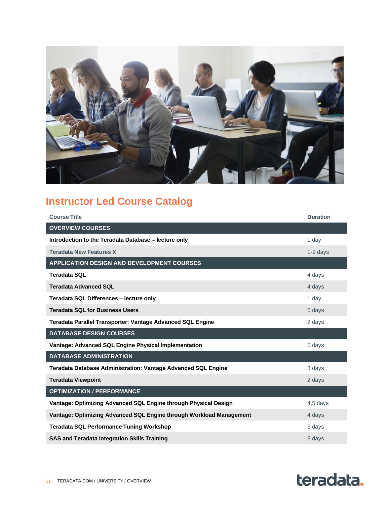

# <span id="page-10-0"></span>**Instructor Led Course Catalog**

| <b>Course Title</b>                                                  | <b>Duration</b> |
|----------------------------------------------------------------------|-----------------|
| <b>OVERVIEW COURSES</b>                                              |                 |
| Introduction to the Teradata Database - lecture only                 | 1 day           |
| <b>Teradata New Features X</b>                                       | $1-2$ days      |
| <b>APPLICATION DESIGN AND DEVELOPMENT COURSES</b>                    |                 |
| <b>Teradata SQL</b>                                                  | 4 days          |
| <b>Teradata Advanced SQL</b>                                         | 4 days          |
| Teradata SQL Differences - lecture only                              | 1 day           |
| <b>Teradata SQL for Business Users</b>                               | 5 days          |
| Teradata Parallel Transporter: Vantage Advanced SQL Engine           | 2 days          |
| <b>DATABASE DESIGN COURSES</b>                                       |                 |
| Vantage: Advanced SQL Engine Physical Implementation                 | 5 days          |
| <b>DATABASE ADMINISTRATION</b>                                       |                 |
| <b>Teradata Database Administration: Vantage Advanced SQL Engine</b> | 3 days          |
| <b>Teradata Viewpoint</b>                                            | 2 days          |
| <b>OPTIMIZATION / PERFORMANCE</b>                                    |                 |
| Vantage: Optimizing Advanced SQL Engine through Physical Design      | 4,5 days        |
| Vantage: Optimizing Advanced SQL Engine through Workload Management  | 4 days          |
| <b>Teradata SQL Performance Tuning Workshop</b>                      | 3 days          |
| <b>SAS and Teradata Integration Skills Training</b>                  | 3 days          |

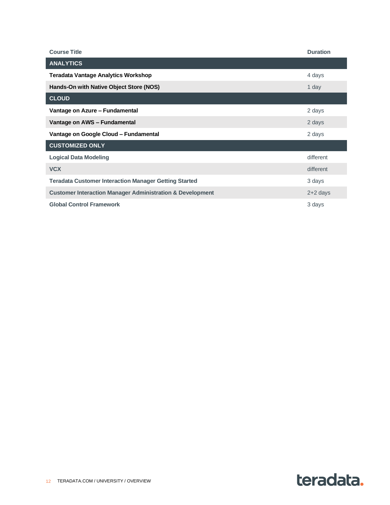| <b>Course Title</b>                                                  | <b>Duration</b> |
|----------------------------------------------------------------------|-----------------|
| <b>ANALYTICS</b>                                                     |                 |
| <b>Teradata Vantage Analytics Workshop</b>                           | 4 days          |
| Hands-On with Native Object Store (NOS)                              | 1 day           |
| <b>CLOUD</b>                                                         |                 |
| Vantage on Azure - Fundamental                                       | 2 days          |
| Vantage on AWS - Fundamental                                         | 2 days          |
| Vantage on Google Cloud - Fundamental                                | 2 days          |
| <b>CUSTOMIZED ONLY</b>                                               |                 |
| <b>Logical Data Modeling</b>                                         | different       |
| <b>VCX</b>                                                           | different       |
| <b>Teradata Customer Interaction Manager Getting Started</b>         | 3 days          |
| <b>Customer Interaction Manager Administration &amp; Development</b> | $2+2$ days      |
| <b>Global Control Framework</b>                                      | 3 days          |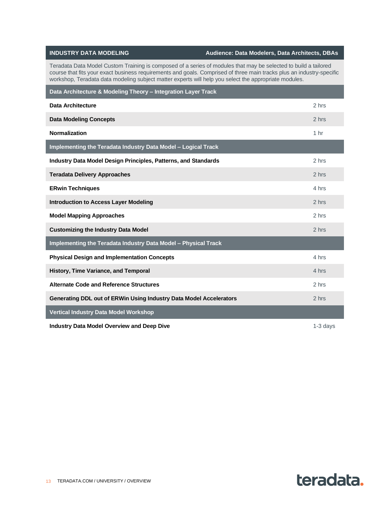| <b>INDUSTRY DATA MODELING</b>                                                                                                                                                                                                                                                                                                                     | Audience: Data Modelers, Data Architects, DBAs |
|---------------------------------------------------------------------------------------------------------------------------------------------------------------------------------------------------------------------------------------------------------------------------------------------------------------------------------------------------|------------------------------------------------|
| Teradata Data Model Custom Training is composed of a series of modules that may be selected to build a tailored<br>course that fits your exact business requirements and goals. Comprised of three main tracks plus an industry-specific<br>workshop, Teradata data modeling subject matter experts will help you select the appropriate modules. |                                                |
| Data Architecture & Modeling Theory - Integration Layer Track                                                                                                                                                                                                                                                                                     |                                                |
| <b>Data Architecture</b>                                                                                                                                                                                                                                                                                                                          | 2 hrs                                          |
| <b>Data Modeling Concepts</b>                                                                                                                                                                                                                                                                                                                     | 2 hrs                                          |
| <b>Normalization</b>                                                                                                                                                                                                                                                                                                                              | 1 <sub>hr</sub>                                |
| Implementing the Teradata Industry Data Model - Logical Track                                                                                                                                                                                                                                                                                     |                                                |
| Industry Data Model Design Principles, Patterns, and Standards                                                                                                                                                                                                                                                                                    | 2 hrs                                          |
| <b>Teradata Delivery Approaches</b>                                                                                                                                                                                                                                                                                                               | 2 hrs                                          |
| <b>ERwin Techniques</b>                                                                                                                                                                                                                                                                                                                           | 4 hrs                                          |
| <b>Introduction to Access Layer Modeling</b>                                                                                                                                                                                                                                                                                                      | 2 hrs                                          |
| <b>Model Mapping Approaches</b>                                                                                                                                                                                                                                                                                                                   | 2 hrs                                          |
| <b>Customizing the Industry Data Model</b>                                                                                                                                                                                                                                                                                                        | 2 hrs                                          |
| Implementing the Teradata Industry Data Model - Physical Track                                                                                                                                                                                                                                                                                    |                                                |
| <b>Physical Design and Implementation Concepts</b>                                                                                                                                                                                                                                                                                                | 4 hrs                                          |
| History, Time Variance, and Temporal                                                                                                                                                                                                                                                                                                              | 4 hrs                                          |
| <b>Alternate Code and Reference Structures</b>                                                                                                                                                                                                                                                                                                    | 2 hrs                                          |
| Generating DDL out of ERWin Using Industry Data Model Accelerators                                                                                                                                                                                                                                                                                | 2 hrs                                          |
| <b>Vertical Industry Data Model Workshop</b>                                                                                                                                                                                                                                                                                                      |                                                |
| <b>Industry Data Model Overview and Deep Dive</b>                                                                                                                                                                                                                                                                                                 | $1-3$ days                                     |

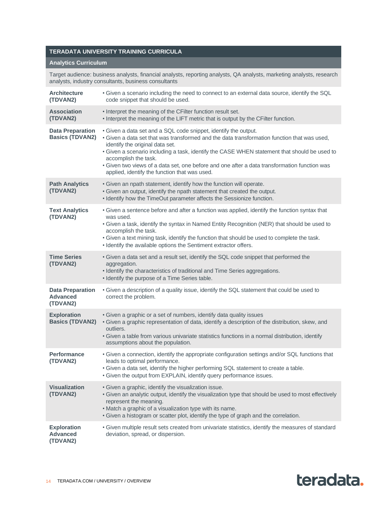#### **TERADATA UNIVERSITY TRAINING CURRICULA**

#### **[Analytics Curriculum](https://learning-center.teradata.com/Saba/Web_spf/NA7P1PRD070/common/learningeventdetail/curra000000000004180)**

Target audience: business analysts, financial analysts, reporting analysts, QA analysts, marketing analysts, research analysts, industry consultants, business consultants

| <b>Architecture</b><br>(TDVAN2)                        | . Given a scenario including the need to connect to an external data source, identify the SQL<br>code snippet that should be used.                                                                                                                                                                                                                                                                                                                                         |
|--------------------------------------------------------|----------------------------------------------------------------------------------------------------------------------------------------------------------------------------------------------------------------------------------------------------------------------------------------------------------------------------------------------------------------------------------------------------------------------------------------------------------------------------|
| <b>Association</b><br>(TDVAN2)                         | • Interpret the meaning of the CFilter function result set.<br>• Interpret the meaning of the LIFT metric that is output by the CFilter function.                                                                                                                                                                                                                                                                                                                          |
| <b>Data Preparation</b><br><b>Basics (TDVAN2)</b>      | • Given a data set and a SQL code snippet, identify the output.<br>. Given a data set that was transformed and the data transformation function that was used,<br>identify the original data set.<br>. Given a scenario including a task, identify the CASE WHEN statement that should be used to<br>accomplish the task.<br>• Given two views of a data set, one before and one after a data transformation function was<br>applied, identify the function that was used. |
| <b>Path Analytics</b><br>(TDVAN2)                      | • Given an npath statement, identify how the function will operate.<br>. Given an output, identify the npath statement that created the output.<br>• Identify how the TimeOut parameter affects the Sessionize function.                                                                                                                                                                                                                                                   |
| <b>Text Analytics</b><br>(TDVAN2)                      | • Given a sentence before and after a function was applied, identify the function syntax that<br>was used.<br>. Given a task, identify the syntax in Named Entity Recognition (NER) that should be used to<br>accomplish the task.<br>. Given a text mining task, identify the function that should be used to complete the task.<br>• Identify the available options the Sentiment extractor offers.                                                                      |
| <b>Time Series</b><br>(TDVAN2)                         | . Given a data set and a result set, identify the SQL code snippet that performed the<br>aggregation.<br>• Identify the characteristics of traditional and Time Series aggregations.<br>• Identify the purpose of a Time Series table.                                                                                                                                                                                                                                     |
| <b>Data Preparation</b><br><b>Advanced</b><br>(TDVAN2) | . Given a description of a quality issue, identify the SQL statement that could be used to<br>correct the problem.                                                                                                                                                                                                                                                                                                                                                         |
| <b>Exploration</b><br><b>Basics (TDVAN2)</b>           | • Given a graphic or a set of numbers, identify data quality issues<br>• Given a graphic representation of data, identify a description of the distribution, skew, and<br>outliers.<br>· Given a table from various univariate statistics functions in a normal distribution, identify<br>assumptions about the population.                                                                                                                                                |
| <b>Performance</b><br>(TDVAN2)                         | . Given a connection, identify the appropriate configuration settings and/or SQL functions that<br>leads to optimal performance.<br>. Given a data set, identify the higher performing SQL statement to create a table.<br>. Given the output from EXPLAIN, identify query performance issues.                                                                                                                                                                             |
| <b>Visualization</b><br>(TDVAN2)                       | • Given a graphic, identify the visualization issue.<br>. Given an analytic output, identify the visualization type that should be used to most effectively<br>represent the meaning.<br>• Match a graphic of a visualization type with its name.<br>. Given a histogram or scatter plot, identify the type of graph and the correlation.                                                                                                                                  |
| <b>Exploration</b><br><b>Advanced</b><br>(TDVAN2)      | • Given multiple result sets created from univariate statistics, identify the measures of standard<br>deviation, spread, or dispersion.                                                                                                                                                                                                                                                                                                                                    |

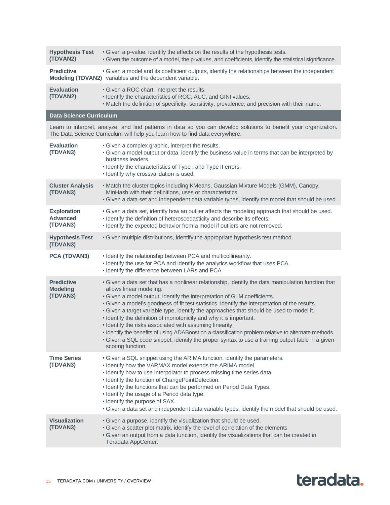| <b>Hypothesis Test</b><br>(TDVAN2)                | • Given a p-value, identify the effects on the results of the hypothesis tests.<br>. Given the outcome of a model, the p-values, and coefficients, identify the statistical significance.                                                                                                                                                                                                                                                                                                                                                                                                                                                                                                                                                                                  |
|---------------------------------------------------|----------------------------------------------------------------------------------------------------------------------------------------------------------------------------------------------------------------------------------------------------------------------------------------------------------------------------------------------------------------------------------------------------------------------------------------------------------------------------------------------------------------------------------------------------------------------------------------------------------------------------------------------------------------------------------------------------------------------------------------------------------------------------|
| <b>Predictive</b>                                 | • Given a model and its coefficient outputs, identify the relationships between the independent<br>Modeling (TDVAN2) variables and the dependent variable.                                                                                                                                                                                                                                                                                                                                                                                                                                                                                                                                                                                                                 |
| <b>Evaluation</b><br>(TDVAN2)                     | • Given a ROC chart, interpret the results.<br>• Identify the characteristics of ROC, AUC, and GINI values.<br>. Match the definition of specificity, sensitivity, prevalence, and precision with their name.                                                                                                                                                                                                                                                                                                                                                                                                                                                                                                                                                              |
| <b>Data Science Curriculum</b>                    |                                                                                                                                                                                                                                                                                                                                                                                                                                                                                                                                                                                                                                                                                                                                                                            |
|                                                   | Learn to interpret, analyze, and find patterns in data so you can develop solutions to benefit your organization.<br>The Data Science Curriculum will help you learn how to find data everywhere.                                                                                                                                                                                                                                                                                                                                                                                                                                                                                                                                                                          |
| <b>Evaluation</b><br>(TDVAN3)                     | • Given a complex graphic, interpret the results.<br>. Given a model output or data, identify the business value in terms that can be interpreted by<br>business leaders.<br>• Identify the characteristics of Type I and Type II errors.<br>• Identify why crossvalidation is used.                                                                                                                                                                                                                                                                                                                                                                                                                                                                                       |
| <b>Cluster Analysis</b><br>(TDVAN3)               | • Match the cluster topics including KMeans, Gaussian Mixture Models (GMM), Canopy,<br>MinHash with their definitions, uses or characteristics.<br>. Given a data set and independent data variable types, identify the model that should be used.                                                                                                                                                                                                                                                                                                                                                                                                                                                                                                                         |
| <b>Exploration</b><br><b>Advanced</b><br>(TDVAN3) | • Given a data set, identify how an outlier affects the modeling approach that should be used.<br>· Identify the definition of heteroscedasticity and describe its effects.<br>• Identify the expected behavior from a model if outliers are not removed.                                                                                                                                                                                                                                                                                                                                                                                                                                                                                                                  |
| <b>Hypothesis Test</b><br>(TDVAN3)                | • Given multiple distributions, identify the appropriate hypothesis test method.                                                                                                                                                                                                                                                                                                                                                                                                                                                                                                                                                                                                                                                                                           |
| PCA (TDVAN3)                                      | • Identify the relationship between PCA and multicollinearity.<br>. Identify the use for PCA and identify the analytics workflow that uses PCA.<br>• Identify the difference between LARs and PCA.                                                                                                                                                                                                                                                                                                                                                                                                                                                                                                                                                                         |
| <b>Predictive</b><br><b>Modeling</b><br>(TDVAN3)  | . Given a data set that has a nonlinear relationship, identify the data manipulation function that<br>allows linear modeling.<br>• Given a model output, identify the interpretation of GLM coefficients.<br>. Given a model's goodness of fit test statistics, identify the interpretation of the results.<br>. Given a target variable type, identify the approaches that should be used to model it.<br>• Identify the definition of monotonicity and why it is important.<br>• Identify the risks associated with assuming linearity.<br>. Identify the benefits of using ADABoost on a classification problem relative to alternate methods.<br>• Given a SQL code snippet, identify the proper syntax to use a training output table in a given<br>scoring function. |
| <b>Time Series</b><br>(TDVAN3)                    | • Given a SQL snippet using the ARIMA function, identify the parameters.<br>• Identify how the VARMAX model extends the ARIMA model.<br>. Identify how to use Interpolator to process missing time series data.<br>• Identify the function of ChangePointDetection.<br>• Identify the functions that can be performed on Period Data Types.<br>• Identify the usage of a Period data type.<br>• Identify the purpose of SAX.<br>. Given a data set and independent data variable types, identify the model that should be used.                                                                                                                                                                                                                                            |
| <b>Visualization</b><br>(TDVAN3)                  | • Given a purpose, identify the visualization that should be used.<br>• Given a scatter plot matrix, identify the level of correlation of the elements<br>• Given an output from a data function, identify the visualizations that can be created in<br>Teradata AppCenter.                                                                                                                                                                                                                                                                                                                                                                                                                                                                                                |

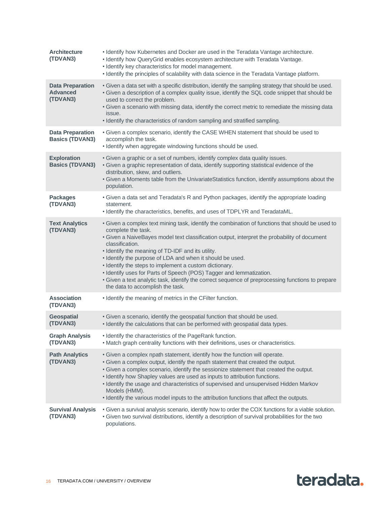| <b>Architecture</b><br>(TDVAN3)                        | . Identify how Kubernetes and Docker are used in the Teradata Vantage architecture.<br>• Identify how QueryGrid enables ecosystem architecture with Teradata Vantage.<br>• Identify key characteristics for model management.<br>. Identify the principles of scalability with data science in the Teradata Vantage platform.                                                                                                                                                                                                                                                                                                         |
|--------------------------------------------------------|---------------------------------------------------------------------------------------------------------------------------------------------------------------------------------------------------------------------------------------------------------------------------------------------------------------------------------------------------------------------------------------------------------------------------------------------------------------------------------------------------------------------------------------------------------------------------------------------------------------------------------------|
| <b>Data Preparation</b><br><b>Advanced</b><br>(TDVAN3) | . Given a data set with a specific distribution, identify the sampling strategy that should be used.<br>. Given a description of a complex quality issue, identify the SQL code snippet that should be<br>used to correct the problem.<br>. Given a scenario with missing data, identify the correct metric to remediate the missing data<br>issue.<br>• Identify the characteristics of random sampling and stratified sampling.                                                                                                                                                                                                     |
| <b>Data Preparation</b><br><b>Basics (TDVAN3)</b>      | . Given a complex scenario, identify the CASE WHEN statement that should be used to<br>accomplish the task.<br>• Identify when aggregate windowing functions should be used.                                                                                                                                                                                                                                                                                                                                                                                                                                                          |
| <b>Exploration</b><br><b>Basics (TDVAN3)</b>           | • Given a graphic or a set of numbers, identify complex data quality issues.<br>. Given a graphic representation of data, identify supporting statistical evidence of the<br>distribution, skew, and outliers.<br>. Given a Moments table from the UnivariateStatistics function, identify assumptions about the<br>population.                                                                                                                                                                                                                                                                                                       |
| <b>Packages</b><br>(TDVAN3)                            | • Given a data set and Teradata's R and Python packages, identify the appropriate loading<br>statement.<br>• Identify the characteristics, benefits, and uses of TDPLYR and TeradataML.                                                                                                                                                                                                                                                                                                                                                                                                                                               |
| <b>Text Analytics</b><br>(TDVAN3)                      | . Given a complex text mining task, identify the combination of functions that should be used to<br>complete the task.<br>• Given a NaiveBayes model text classification output, interpret the probability of document<br>classification.<br>• Identify the meaning of TD-IDF and its utility.<br>• Identify the purpose of LDA and when it should be used.<br>• Identify the steps to implement a custom dictionary.<br>• Identify uses for Parts of Speech (POS) Tagger and lemmatization.<br>• Given a text analytic task, identify the correct sequence of preprocessing functions to prepare<br>the data to accomplish the task. |
| <b>Association</b><br>(TDVAN3)                         | • Identify the meaning of metrics in the CFilter function.                                                                                                                                                                                                                                                                                                                                                                                                                                                                                                                                                                            |
| <b>Geospatial</b><br>(TDVAN3)                          | • Given a scenario, identify the geospatial function that should be used.<br>. Identify the calculations that can be performed with geospatial data types.                                                                                                                                                                                                                                                                                                                                                                                                                                                                            |
| <b>Graph Analysis</b><br>(TDVAN3)                      | • Identify the characteristics of the PageRank function.<br>. Match graph centrality functions with their definitions, uses or characteristics.                                                                                                                                                                                                                                                                                                                                                                                                                                                                                       |
| <b>Path Analytics</b><br>(TDVAN3)                      | . Given a complex npath statement, identify how the function will operate.<br>. Given a complex output, identify the npath statement that created the output.<br>. Given a complex scenario, identify the sessionize statement that created the output.<br>• Identify how Shapley values are used as inputs to attribution functions.<br>• Identify the usage and characteristics of supervised and unsupervised Hidden Markov<br>Models (HMM).<br>. Identify the various model inputs to the attribution functions that affect the outputs.                                                                                          |
| <b>Survival Analysis</b><br>(TDVAN3)                   | . Given a survival analysis scenario, identify how to order the COX functions for a viable solution.<br>. Given two survival distributions, identify a description of survival probabilities for the two<br>populations.                                                                                                                                                                                                                                                                                                                                                                                                              |

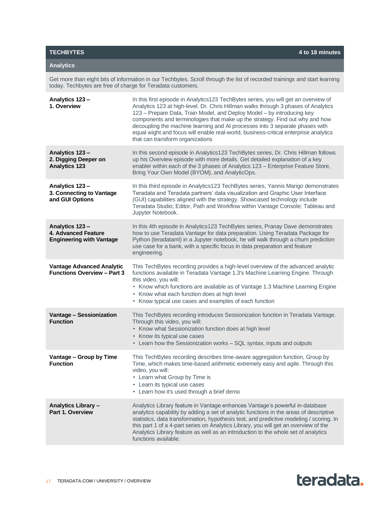Get more than eight bits of information in our Techbytes. Scroll through the list of recorded trainings and start learning today. Techbytes are free of charge for Teradata customers.

| Analytics 123-<br>1. Overview                                                   | In this first episode in Analytics123 TechBytes series, you will get an overview of<br>Analytics 123 at high-level. Dr. Chris Hillman walks through 3 phases of Analytics<br>123 - Prepare Data, Train Model, and Deploy Model - by introducing key<br>components and terminologies that make up the strategy. Find out why and how<br>decoupling the machine learning and AI processes into 3 separate phases with<br>equal wight and focus will enable real-world, business-critical enterprise analytics<br>that can transform organizations |
|---------------------------------------------------------------------------------|-------------------------------------------------------------------------------------------------------------------------------------------------------------------------------------------------------------------------------------------------------------------------------------------------------------------------------------------------------------------------------------------------------------------------------------------------------------------------------------------------------------------------------------------------|
| Analytics 123-<br>2. Digging Deeper on<br><b>Analytics 123</b>                  | In this second episode in Analytics123 TechBytes series, Dr. Chris Hillman follows<br>up his Overview episode with more details. Get detailed explanation of a key<br>enabler within each of the 3 phases of Analytics 123 - Enterprise Feature Store,<br>Bring Your Own Model (BYOM), and AnalyticOps.                                                                                                                                                                                                                                         |
| Analytics 123-<br>3. Connecting to Vantage<br>and GUI Options                   | In this third episode in Analytics123 TechBytes series, Yannis Marigo demonstrates<br>Teradata and Teradata partners' data visualization and Graphic User Interface<br>(GUI) capabilities aligned with the strategy. Showcased technology include<br>Teradata Studio; Editor, Path and Workflow within Vantage Console; Tableau and<br>Jupyter Notebook.                                                                                                                                                                                        |
| Analytics 123-<br><b>4. Advanced Feature</b><br><b>Engineering with Vantage</b> | In this 4th episode in Analytics123 TechBytes series, Pranay Dave demonstrates<br>how to use Teradata Vantage for data preparation. Using Teradata Package for<br>Python (teradataml) in a Jupyter notebook, he will walk through a churn prediction<br>use case for a bank, with a specific focus in data preparation and feature<br>engineering.                                                                                                                                                                                              |
| <b>Vantage Advanced Analytic</b><br><b>Functions Overview - Part 3</b>          | This TechBytes recording provides a high-level overview of the advanced analytic<br>functions available in Teradata Vantage 1.3's Machine Learning Engine. Through<br>this video, you will:<br>• Know which functions are available as of Vantage 1.3 Machine Learning Engine<br>• Know what each function does at high level<br>• Know typical use cases and examples of each function                                                                                                                                                         |
| <b>Vantage - Sessionization</b><br><b>Function</b>                              | This TechBytes recording introduces Sessionization function in Teradata Vantage.<br>Through this video, you will:<br>• Know what Sessionization function does at high level<br>• Know its typical use cases<br>• Learn how the Sessionization works - SQL syntax, inputs and outputs                                                                                                                                                                                                                                                            |
| Vantage - Group by Time<br><b>Function</b>                                      | This TechBytes recording describes time-aware aggregation function, Group by<br>Time, which makes time-based arithmetic extremely easy and agile. Through this<br>video, you will:<br>• Learn what Group by Time is<br>• Learn its typical use cases<br>• Learn how it's used through a brief demo                                                                                                                                                                                                                                              |
| Analytics Library -<br>Part 1. Overview                                         | Analytics Library feature in Vantage enhances Vantage's powerful in-database<br>analytics capability by adding a set of analytic functions in the areas of descriptive<br>statistics, data transformation, hypothesis test, and predictive modeling / scoring. In<br>this part 1 of a 4-part series on Analytics Library, you will get an overview of the<br>Analytics Library feature as well as an introduction to the whole set of analytics<br>functions available.                                                                         |

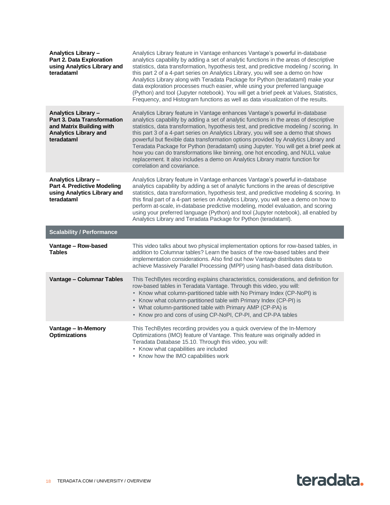| Analytics Library -<br><b>Part 2. Data Exploration</b><br>using Analytics Library and<br>teradataml                                 | Analytics Library feature in Vantage enhances Vantage's powerful in-database<br>analytics capability by adding a set of analytic functions in the areas of descriptive<br>statistics, data transformation, hypothesis test, and predictive modeling / scoring. In<br>this part 2 of a 4-part series on Analytics Library, you will see a demo on how<br>Analytics Library along with Teradata Package for Python (teradataml) make your<br>data exploration processes much easier, while using your preferred language<br>(Python) and tool (Jupyter notebook). You will get a brief peek at Values, Statistics,<br>Frequency, and Histogram functions as well as data visualization of the results.                                     |
|-------------------------------------------------------------------------------------------------------------------------------------|------------------------------------------------------------------------------------------------------------------------------------------------------------------------------------------------------------------------------------------------------------------------------------------------------------------------------------------------------------------------------------------------------------------------------------------------------------------------------------------------------------------------------------------------------------------------------------------------------------------------------------------------------------------------------------------------------------------------------------------|
| <b>Analytics Library -</b><br>Part 3. Data Transformation<br>and Matrix Building with<br><b>Analytics Library and</b><br>teradataml | Analytics Library feature in Vantage enhances Vantage's powerful in-database<br>analytics capability by adding a set of analytic functions in the areas of descriptive<br>statistics, data transformation, hypothesis test, and predictive modeling / scoring. In<br>this part 3 of a 4-part series on Analytics Library, you will see a demo that shows<br>powerful but flexible data transformation options provided by Analytics Library and<br>Teradata Package for Python (teradataml) using Jupyter. You will get a brief peek at<br>how you can do transformations like binning, one hot encoding, and NULL value<br>replacement. It also includes a demo on Analytics Library matrix function for<br>correlation and covariance. |
| Analytics Library -<br><b>Part 4. Predictive Modeling</b><br>using Analytics Library and<br>teradataml                              | Analytics Library feature in Vantage enhances Vantage's powerful in-database<br>analytics capability by adding a set of analytic functions in the areas of descriptive<br>statistics, data transformation, hypothesis test, and predictive modeling & scoring. In<br>this final part of a 4-part series on Analytics Library, you will see a demo on how to<br>perform at-scale, in-database predictive modeling, model evaluation, and scoring<br>using your preferred language (Python) and tool (Jupyter notebook), all enabled by<br>Analytics Library and Teradata Package for Python (teradataml).                                                                                                                                 |
| <b>Scalability / Performance</b>                                                                                                    |                                                                                                                                                                                                                                                                                                                                                                                                                                                                                                                                                                                                                                                                                                                                          |
| Vantage - Row-based<br><b>Tables</b>                                                                                                | This video talks about two physical implementation options for row-based tables, in<br>addition to Columnar tables? Learn the basics of the row-based tables and their<br>implementation considerations. Also find out how Vantage distributes data to<br>achieve Massively Parallel Processing (MPP) using hash-based data distribution.                                                                                                                                                                                                                                                                                                                                                                                                |
| Vantage - Columnar Tables                                                                                                           | This TechBytes recording explains characteristics, considerations, and definition for<br>row-based tables in Teradata Vantage. Through this video, you will:<br>• Know what column-partitioned table with No Primary Index (CP-NoPI) is<br>• Know what column-partitioned table with Primary Index (CP-PI) is<br>• What column-partitioned table with Primary AMP (CP-PA) is<br>• Know pro and cons of using CP-NoPI, CP-PI, and CP-PA tables                                                                                                                                                                                                                                                                                            |
| Vantage - In-Memory<br><b>Optimizations</b>                                                                                         | This TechBytes recording provides you a quick overview of the In-Memory<br>Optimizations (IMO) feature of Vantage. This feature was originally added in<br>Teradata Database 15.10. Through this video, you will:<br>• Know what capabilities are included<br>• Know how the IMO capabilities work                                                                                                                                                                                                                                                                                                                                                                                                                                       |

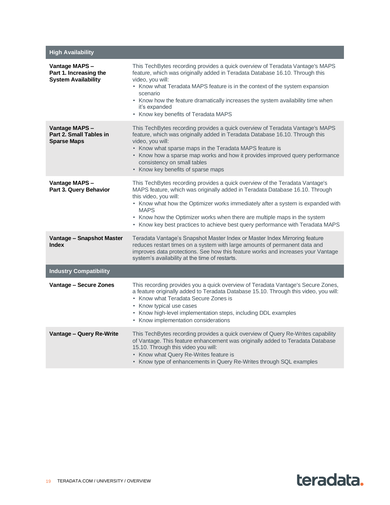| <b>High Availability</b>                                              |                                                                                                                                                                                                                                                                                                                                                                                                                                                        |
|-----------------------------------------------------------------------|--------------------------------------------------------------------------------------------------------------------------------------------------------------------------------------------------------------------------------------------------------------------------------------------------------------------------------------------------------------------------------------------------------------------------------------------------------|
| Vantage MAPS-<br>Part 1. Increasing the<br><b>System Availability</b> | This TechBytes recording provides a quick overview of Teradata Vantage's MAPS<br>feature, which was originally added in Teradata Database 16.10. Through this<br>video, you will:<br>• Know what Teradata MAPS feature is in the context of the system expansion<br>scenario<br>• Know how the feature dramatically increases the system availability time when<br>it's expanded<br>• Know key benefits of Teradata MAPS                               |
| Vantage MAPS-<br>Part 2. Small Tables in<br><b>Sparse Maps</b>        | This TechBytes recording provides a quick overview of Teradata Vantage's MAPS<br>feature, which was originally added in Teradata Database 16.10. Through this<br>video, you will:<br>• Know what sparse maps in the Teradata MAPS feature is<br>• Know how a sparse map works and how it provides improved query performance<br>consistency on small tables<br>• Know key benefits of sparse maps                                                      |
| Vantage MAPS-<br>Part 3. Query Behavior                               | This TechBytes recording provides a quick overview of the Teradata Vantage's<br>MAPS feature, which was originally added in Teradata Database 16.10. Through<br>this video, you will:<br>• Know what how the Optimizer works immediately after a system is expanded with<br><b>MAPS</b><br>• Know how the Optimizer works when there are multiple maps in the system<br>• Know key best practices to achieve best query performance with Teradata MAPS |
| Vantage - Snapshot Master<br><b>Index</b>                             | Teradata Vantage's Snapshot Master Index or Master Index Mirroring feature<br>reduces restart times on a system with large amounts of permanent data and<br>improves data protections. See how this feature works and increases your Vantage<br>system's availability at the time of restarts.                                                                                                                                                         |
| <b>Industry Compatibility</b>                                         |                                                                                                                                                                                                                                                                                                                                                                                                                                                        |
| Vantage - Secure Zones                                                | This recording provides you a quick overview of Teradata Vantage's Secure Zones,<br>a feature originally added to Teradata Database 15.10. Through this video, you will:<br>• Know what Teradata Secure Zones is<br>• Know typical use cases<br>• Know high-level implementation steps, including DDL examples<br>• Know implementation considerations                                                                                                 |
| Vantage - Query Re-Write                                              | This TechBytes recording provides a quick overview of Query Re-Writes capability<br>of Vantage. This feature enhancement was originally added to Teradata Database<br>15.10. Through this video you will:<br>• Know what Query Re-Writes feature is<br>• Know type of enhancements in Query Re-Writes through SQL examples                                                                                                                             |

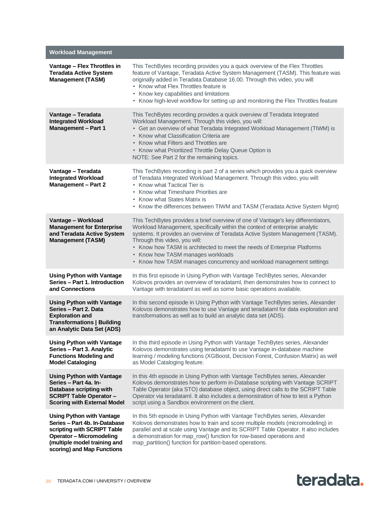| <b>Workload Management</b>                                                                                                                                                                        |                                                                                                                                                                                                                                                                                                                                                                                                                                                                             |
|---------------------------------------------------------------------------------------------------------------------------------------------------------------------------------------------------|-----------------------------------------------------------------------------------------------------------------------------------------------------------------------------------------------------------------------------------------------------------------------------------------------------------------------------------------------------------------------------------------------------------------------------------------------------------------------------|
| Vantage - Flex Throttles in<br><b>Teradata Active System</b><br><b>Management (TASM)</b>                                                                                                          | This TechBytes recording provides you a quick overview of the Flex Throttles<br>feature of Vantage, Teradata Active System Management (TASM). This feature was<br>originally added in Teradata Database 16.00. Through this video, you will:<br>• Know what Flex Throttles feature is<br>• Know key capabilities and limitations<br>• Know high-level workflow for setting up and monitoring the Flex Throttles feature                                                     |
| Vantage - Teradata<br><b>Integrated Workload</b><br><b>Management - Part 1</b>                                                                                                                    | This TechBytes recording provides a quick overview of Teradata Integrated<br>Workload Management. Through this video, you will:<br>• Get an overview of what Teradata Integrated Workload Management (TIWM) is<br>• Know what Classification Criteria are<br>• Know what Filters and Throttles are<br>• Know what Prioritized Throttle Delay Queue Option is<br>NOTE: See Part 2 for the remaining topics.                                                                  |
| Vantage - Teradata<br><b>Integrated Workload</b><br><b>Management - Part 2</b>                                                                                                                    | This TechBytes recording is part 2 of a series which provides you a quick overview<br>of Teradata Integrated Workload Management. Through this video, you will:<br>• Know what Tactical Tier is<br>• Know what Timeshare Priorities are<br>• Know what States Matrix is<br>• Know the differences between TIWM and TASM (Teradata Active System Mgmt)                                                                                                                       |
| Vantage - Workload<br><b>Management for Enterprise</b><br>and Teradata Active System<br><b>Management (TASM)</b>                                                                                  | This TechBytes provides a brief overview of one of Vantage's key differentiators,<br>Workload Management, specifically within the context of enterprise analytic<br>systems. It provides an overview of Teradata Active System Management (TASM).<br>Through this video, you will:<br>• Know how TASM is architected to meet the needs of Enterprise Platforms<br>• Know how TASM manages workloads<br>• Know how TASM manages concurrency and workload management settings |
| <b>Using Python with Vantage</b><br>Series - Part 1. Introduction<br>and Connections                                                                                                              | In this first episode in Using Python with Vantage TechBytes series, Alexander<br>Kolovos provides an overview of teradataml, then demonstrates how to connect to<br>Vantage with teradataml as well as some basic operations available.                                                                                                                                                                                                                                    |
| <b>Using Python with Vantage</b><br>Series - Part 2. Data<br><b>Exploration and</b><br><b>Transformations   Building</b><br>an Analytic Data Set (ADS)                                            | In this second episode in Using Python with Vantage TechBytes series, Alexander<br>Kolovos demonstrates how to use Vantage and teradataml for data exploration and<br>transformations as well as to build an analytic data set (ADS).                                                                                                                                                                                                                                       |
| <b>Using Python with Vantage</b><br>Series - Part 3. Analytic<br><b>Functions Modeling and</b><br><b>Model Cataloging</b>                                                                         | In this third episode in Using Python with Vantage TechBytes series, Alexander<br>Kolovos demonstrates using teradatamI to use Vantage in-database machine<br>learning / modeling functions (XGBoost, Decision Forest, Confusion Matrix) as well<br>as Model Cataloging feature.                                                                                                                                                                                            |
| <b>Using Python with Vantage</b><br>Series - Part 4a. In-<br>Database scripting with<br><b>SCRIPT Table Operator -</b><br><b>Scoring with External Model</b>                                      | In this 4th episode in Using Python with Vantage TechBytes series, Alexander<br>Kolovos demonstrates how to perform in-Database scripting with Vantage SCRIPT<br>Table Operator (aka STO) database object, using direct calls to the SCRIPT Table<br>Operator via teradataml. It also includes a demonstration of how to test a Python<br>script using a Sandbox environment on the client.                                                                                 |
| <b>Using Python with Vantage</b><br>Series - Part 4b. In-Database<br>scripting with SCRIPT Table<br><b>Operator - Micromodeling</b><br>(multiple model training and<br>scoring) and Map Functions | In this 5th episode in Using Python with Vantage TechBytes series, Alexander<br>Kolovos demonstrates how to train and score multiple models (micromodeling) in<br>parallel and at scale using Vantage and its SCRIPT Table Operator. It also includes<br>a demonstration for map_row() function for row-based operations and<br>map_partition() function for partition-based operations.                                                                                    |

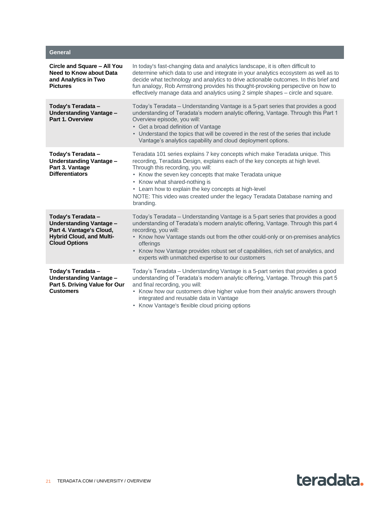| <b>General</b>                                                                                                                              |                                                                                                                                                                                                                                                                                                                                                                                                                                                   |
|---------------------------------------------------------------------------------------------------------------------------------------------|---------------------------------------------------------------------------------------------------------------------------------------------------------------------------------------------------------------------------------------------------------------------------------------------------------------------------------------------------------------------------------------------------------------------------------------------------|
| Circle and Square – All You<br><b>Need to Know about Data</b><br>and Analytics in Two<br><b>Pictures</b>                                    | In today's fast-changing data and analytics landscape, it is often difficult to<br>determine which data to use and integrate in your analytics ecosystem as well as to<br>decide what technology and analytics to drive actionable outcomes. In this brief and<br>fun analogy, Rob Armstrong provides his thought-provoking perspective on how to<br>effectively manage data and analytics using 2 simple shapes - circle and square.             |
| Today's Teradata -<br><b>Understanding Vantage -</b><br>Part 1. Overview                                                                    | Today's Teradata - Understanding Vantage is a 5-part series that provides a good<br>understanding of Teradata's modern analytic offering, Vantage. Through this Part 1<br>Overview episode, you will:<br>• Get a broad definition of Vantage<br>• Understand the topics that will be covered in the rest of the series that include<br>Vantage's analytics capability and cloud deployment options.                                               |
| Today's Teradata -<br>Understanding Vantage -<br>Part 3. Vantage<br><b>Differentiators</b>                                                  | Teradata 101 series explains 7 key concepts which make Teradata unique. This<br>recording, Teradata Design, explains each of the key concepts at high level.<br>Through this recording, you will:<br>• Know the seven key concepts that make Teradata unique<br>• Know what shared-nothing is<br>• Learn how to explain the key concepts at high-level<br>NOTE: This video was created under the legacy Teradata Database naming and<br>branding. |
| Today's Teradata -<br><b>Understanding Vantage -</b><br>Part 4. Vantage's Cloud,<br><b>Hybrid Cloud, and Multi-</b><br><b>Cloud Options</b> | Today's Teradata - Understanding Vantage is a 5-part series that provides a good<br>understanding of Teradata's modern analytic offering, Vantage. Through this part 4<br>recording, you will:<br>• Know how Vantage stands out from the other could-only or on-premises analytics<br>offerings<br>• Know how Vantage provides robust set of capabilities, rich set of analytics, and<br>experts with unmatched expertise to our customers        |
| Today's Teradata -<br><b>Understanding Vantage -</b><br>Part 5. Driving Value for Our<br><b>Customers</b>                                   | Today's Teradata - Understanding Vantage is a 5-part series that provides a good<br>understanding of Teradata's modern analytic offering, Vantage. Through this part 5<br>and final recording, you will:<br>• Know how our customers drive higher value from their analytic answers through<br>integrated and reusable data in Vantage<br>• Know Vantage's flexible cloud pricing options                                                         |

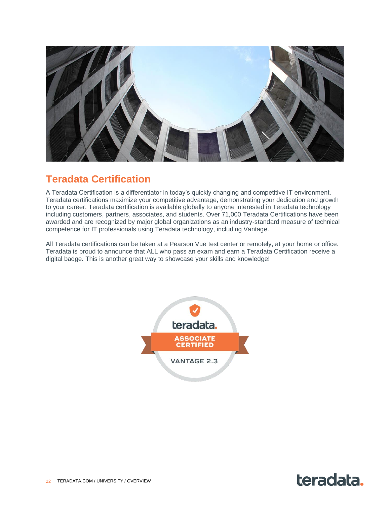

# <span id="page-21-0"></span>**Teradata Certification**

A Teradata Certification is a differentiator in today's quickly changing and competitive IT environment. Teradata certifications maximize your competitive advantage, demonstrating your dedication and growth to your career. Teradata certification is available globally to anyone interested in Teradata technology including customers, partners, associates, and students. Over 71,000 Teradata Certifications have been awarded and are recognized by major global organizations as an industry-standard measure of technical competence for IT professionals using Teradata technology, including Vantage.

All Teradata certifications can be taken at a Pearson Vue test center or remotely, at your home or office. Teradata is proud to announce that ALL who pass an exam and earn a Teradata Certification receive a digital badge. This is another great way to showcase your skills and knowledge!



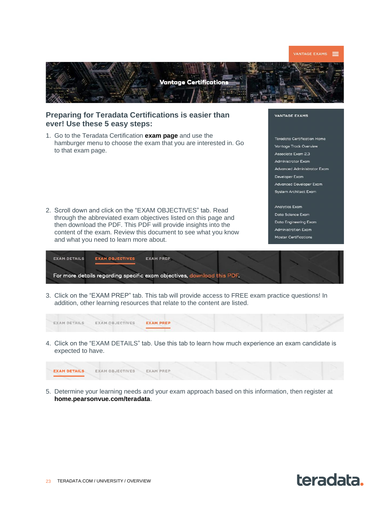

2. Scroll down and click on the "EXAM OBJECTIVES" tab. Read through the abbreviated exam objectives listed on this page and then download the PDF. This PDF will provide insights into the content of the exam. Review this document to see what you know and what you need to learn more about.

# **Analytics Exam**

Data Science Exam Data Engineering Exam **Administration Exam** Master Certifications

| <b>EXAM DETAILS</b> | <b>EXAM OBJECTIVES</b> | <b>EXAM PREP</b>                                                        |  |  |
|---------------------|------------------------|-------------------------------------------------------------------------|--|--|
|                     |                        | For more details regarding specific exam objectives, download this PDF. |  |  |

3. Click on the "EXAM PREP" tab. This tab will provide access to FREE exam practice questions! In addition, other learning resources that relate to the content are listed.

| EXAM DETAILS EXAM OBJECTIVES EXAM PREP |  |  |  |
|----------------------------------------|--|--|--|
|                                        |  |  |  |

4. Click on the "EXAM DETAILS" tab. Use this tab to learn how much experience an exam candidate is expected to have.

| <b>EXAM DETAILS</b> EXAM OBJECTIVES EXAM PREP |  |  |  |
|-----------------------------------------------|--|--|--|
|                                               |  |  |  |

5. Determine your learning needs and your exam approach based on this information, then register at **[home.pearsonvue.com/teradata](https://home.pearsonvue.com/teradata)**.